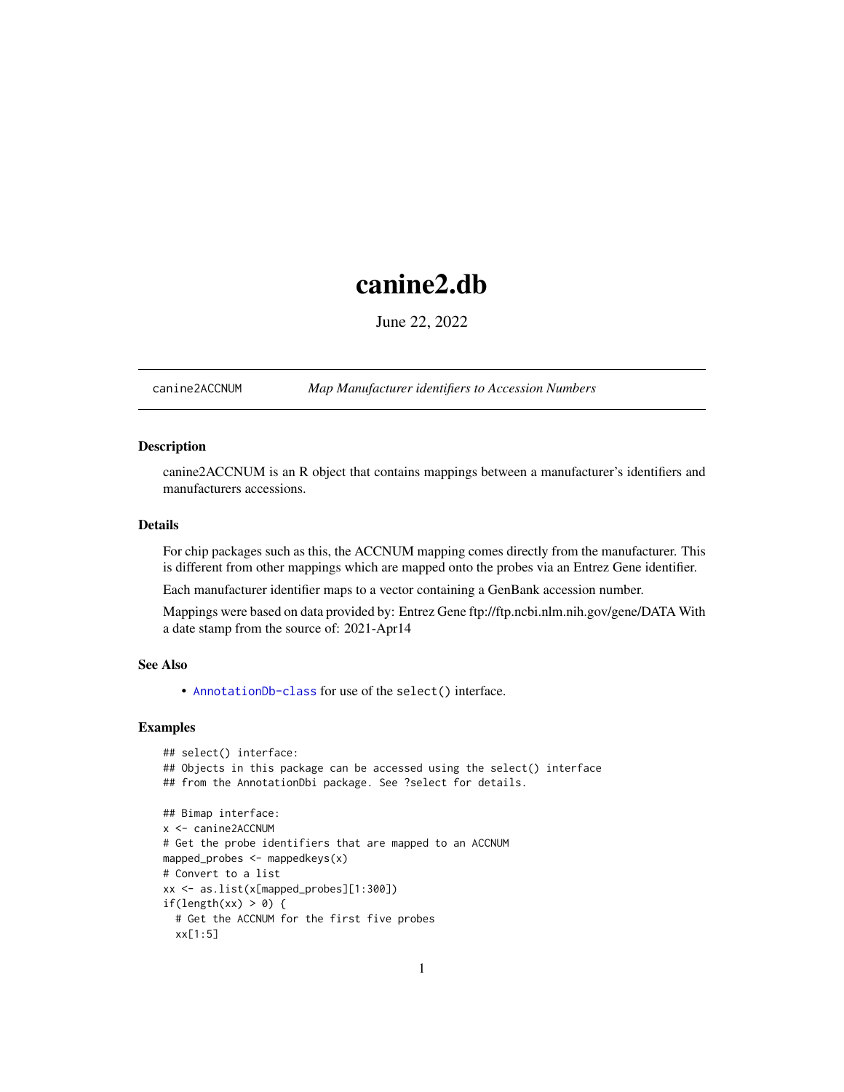# <span id="page-0-1"></span>canine2.db

June 22, 2022

<span id="page-0-0"></span>canine2ACCNUM *Map Manufacturer identifiers to Accession Numbers*

# Description

canine2ACCNUM is an R object that contains mappings between a manufacturer's identifiers and manufacturers accessions.

# Details

For chip packages such as this, the ACCNUM mapping comes directly from the manufacturer. This is different from other mappings which are mapped onto the probes via an Entrez Gene identifier.

Each manufacturer identifier maps to a vector containing a GenBank accession number.

Mappings were based on data provided by: Entrez Gene ftp://ftp.ncbi.nlm.nih.gov/gene/DATA With a date stamp from the source of: 2021-Apr14

### See Also

• AnnotationDb-class for use of the select() interface.

```
## select() interface:
## Objects in this package can be accessed using the select() interface
## from the AnnotationDbi package. See ?select for details.
## Bimap interface:
x <- canine2ACCNUM
# Get the probe identifiers that are mapped to an ACCNUM
mapped_probes <- mappedkeys(x)
# Convert to a list
xx <- as.list(x[mapped_probes][1:300])
if(length(xx) > 0) {
 # Get the ACCNUM for the first five probes
 xx[1:5]
```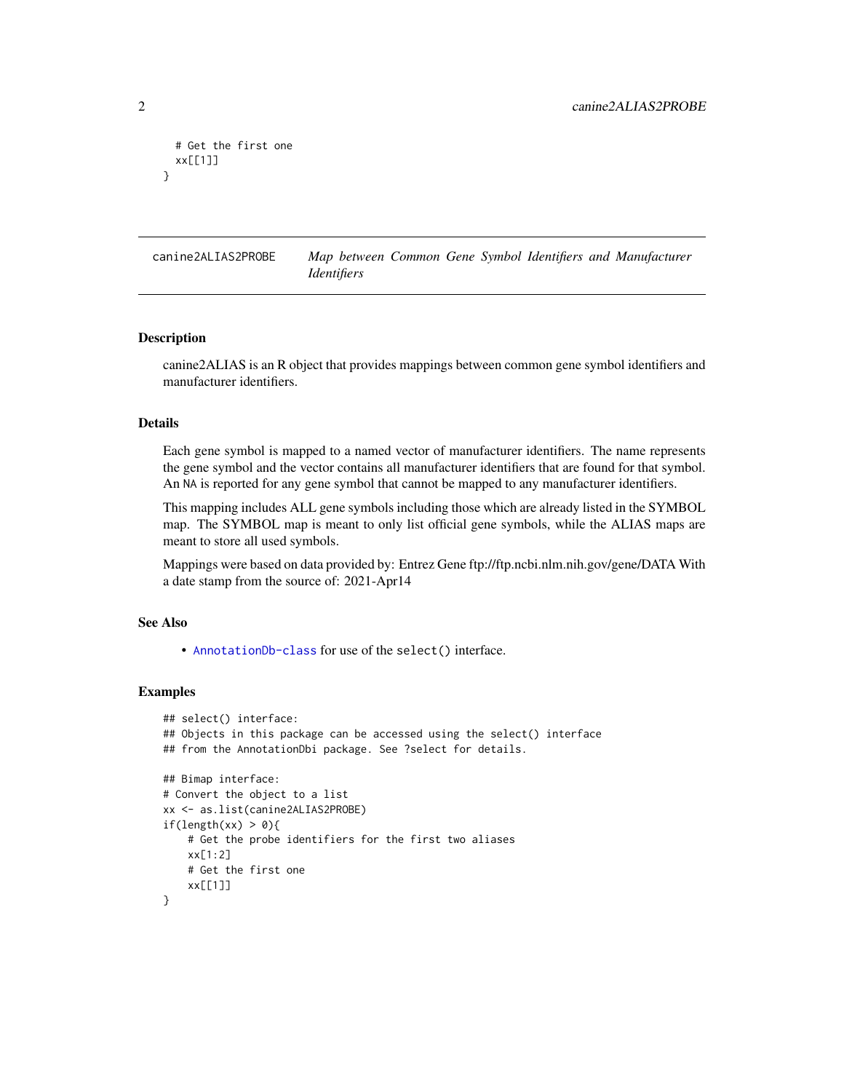```
# Get the first one
 xx[[1]]
}
```
canine2ALIAS2PROBE *Map between Common Gene Symbol Identifiers and Manufacturer Identifiers*

#### Description

canine2ALIAS is an R object that provides mappings between common gene symbol identifiers and manufacturer identifiers.

#### Details

Each gene symbol is mapped to a named vector of manufacturer identifiers. The name represents the gene symbol and the vector contains all manufacturer identifiers that are found for that symbol. An NA is reported for any gene symbol that cannot be mapped to any manufacturer identifiers.

This mapping includes ALL gene symbols including those which are already listed in the SYMBOL map. The SYMBOL map is meant to only list official gene symbols, while the ALIAS maps are meant to store all used symbols.

Mappings were based on data provided by: Entrez Gene ftp://ftp.ncbi.nlm.nih.gov/gene/DATA With a date stamp from the source of: 2021-Apr14

# See Also

• [AnnotationDb-class](#page-0-0) for use of the select() interface.

```
## select() interface:
## Objects in this package can be accessed using the select() interface
## from the AnnotationDbi package. See ?select for details.
## Bimap interface:
# Convert the object to a list
xx <- as.list(canine2ALIAS2PROBE)
if(length(xx) > 0){
    # Get the probe identifiers for the first two aliases
   xx[1:2]
   # Get the first one
   xx[[1]]
}
```
<span id="page-1-0"></span>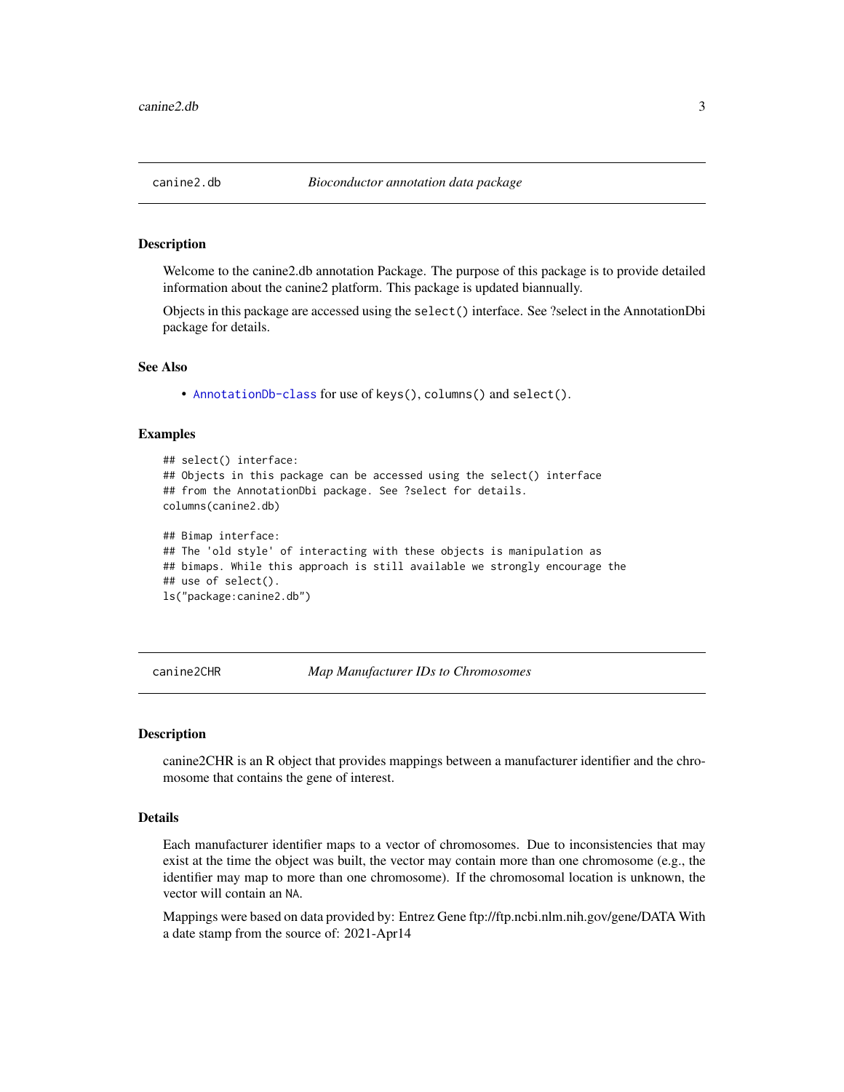#### <span id="page-2-0"></span>Description

Welcome to the canine2.db annotation Package. The purpose of this package is to provide detailed information about the canine2 platform. This package is updated biannually.

Objects in this package are accessed using the select() interface. See ?select in the AnnotationDbi package for details.

#### See Also

• [AnnotationDb-class](#page-0-0) for use of keys(), columns() and select().

#### Examples

```
## select() interface:
## Objects in this package can be accessed using the select() interface
## from the AnnotationDbi package. See ?select for details.
columns(canine2.db)
## Bimap interface:
## The 'old style' of interacting with these objects is manipulation as
## bimaps. While this approach is still available we strongly encourage the
## use of select().
ls("package:canine2.db")
```
canine2CHR *Map Manufacturer IDs to Chromosomes*

#### **Description**

canine2CHR is an R object that provides mappings between a manufacturer identifier and the chromosome that contains the gene of interest.

#### Details

Each manufacturer identifier maps to a vector of chromosomes. Due to inconsistencies that may exist at the time the object was built, the vector may contain more than one chromosome (e.g., the identifier may map to more than one chromosome). If the chromosomal location is unknown, the vector will contain an NA.

Mappings were based on data provided by: Entrez Gene ftp://ftp.ncbi.nlm.nih.gov/gene/DATA With a date stamp from the source of: 2021-Apr14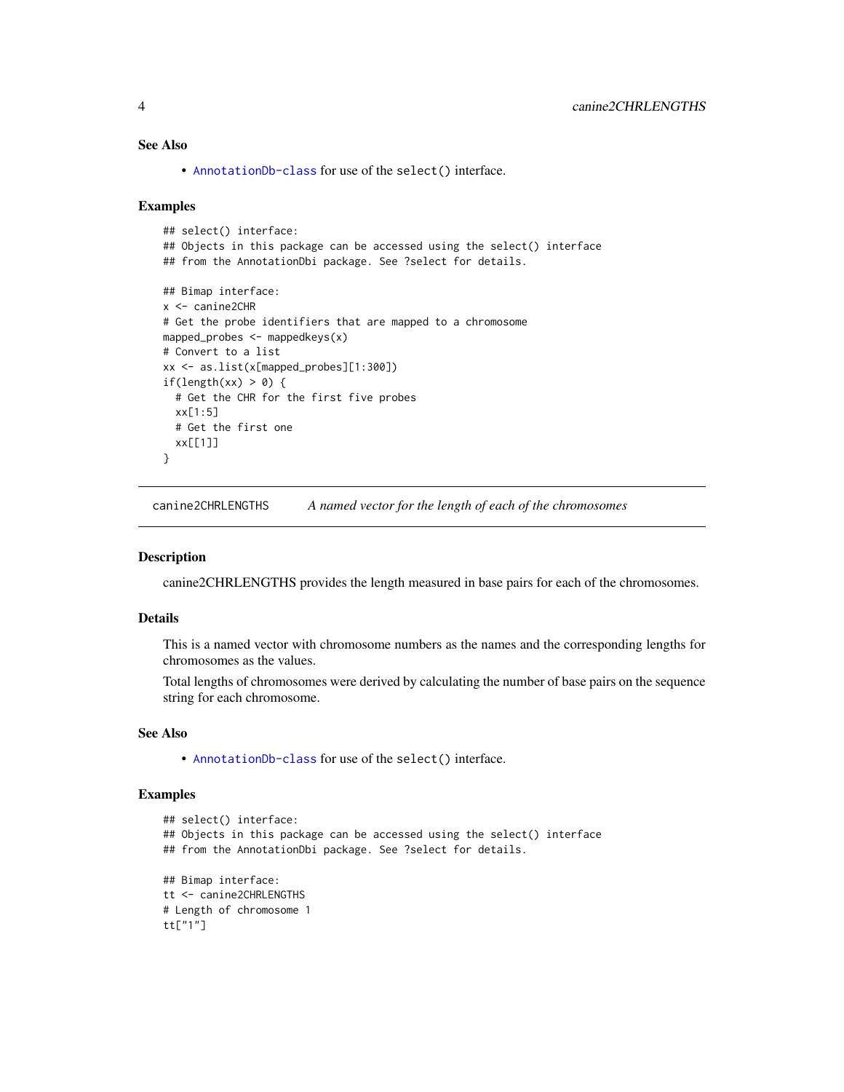# See Also

• [AnnotationDb-class](#page-0-0) for use of the select() interface.

#### Examples

```
## select() interface:
## Objects in this package can be accessed using the select() interface
## from the AnnotationDbi package. See ?select for details.
## Bimap interface:
x <- canine2CHR
# Get the probe identifiers that are mapped to a chromosome
mapped_probes <- mappedkeys(x)
# Convert to a list
xx <- as.list(x[mapped_probes][1:300])
if(length(xx) > 0) {
  # Get the CHR for the first five probes
  xx[1:5]
  # Get the first one
  xx[[1]]
}
```
canine2CHRLENGTHS *A named vector for the length of each of the chromosomes*

#### Description

canine2CHRLENGTHS provides the length measured in base pairs for each of the chromosomes.

#### Details

This is a named vector with chromosome numbers as the names and the corresponding lengths for chromosomes as the values.

Total lengths of chromosomes were derived by calculating the number of base pairs on the sequence string for each chromosome.

### See Also

• [AnnotationDb-class](#page-0-0) for use of the select() interface.

```
## select() interface:
## Objects in this package can be accessed using the select() interface
## from the AnnotationDbi package. See ?select for details.
## Bimap interface:
tt <- canine2CHRLENGTHS
# Length of chromosome 1
tt["1"]
```
<span id="page-3-0"></span>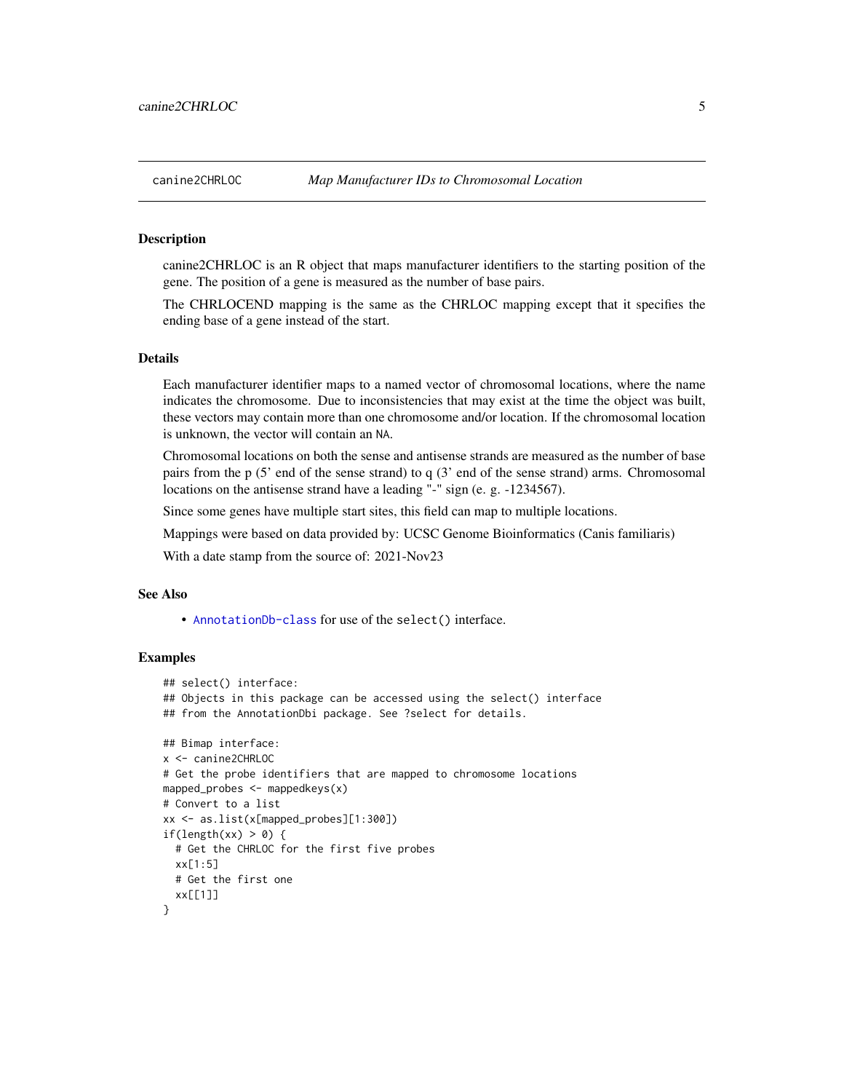#### <span id="page-4-0"></span>**Description**

canine2CHRLOC is an R object that maps manufacturer identifiers to the starting position of the gene. The position of a gene is measured as the number of base pairs.

The CHRLOCEND mapping is the same as the CHRLOC mapping except that it specifies the ending base of a gene instead of the start.

# Details

Each manufacturer identifier maps to a named vector of chromosomal locations, where the name indicates the chromosome. Due to inconsistencies that may exist at the time the object was built, these vectors may contain more than one chromosome and/or location. If the chromosomal location is unknown, the vector will contain an NA.

Chromosomal locations on both the sense and antisense strands are measured as the number of base pairs from the p (5' end of the sense strand) to q (3' end of the sense strand) arms. Chromosomal locations on the antisense strand have a leading "-" sign (e. g. -1234567).

Since some genes have multiple start sites, this field can map to multiple locations.

Mappings were based on data provided by: UCSC Genome Bioinformatics (Canis familiaris)

With a date stamp from the source of: 2021-Nov23

#### See Also

• [AnnotationDb-class](#page-0-0) for use of the select() interface.

```
## select() interface:
## Objects in this package can be accessed using the select() interface
## from the AnnotationDbi package. See ?select for details.
## Bimap interface:
x <- canine2CHRLOC
# Get the probe identifiers that are mapped to chromosome locations
mapped_probes <- mappedkeys(x)
# Convert to a list
xx <- as.list(x[mapped_probes][1:300])
if(length(xx) > 0) {
 # Get the CHRLOC for the first five probes
 xx[1:5]
 # Get the first one
 xx[[1]]
}
```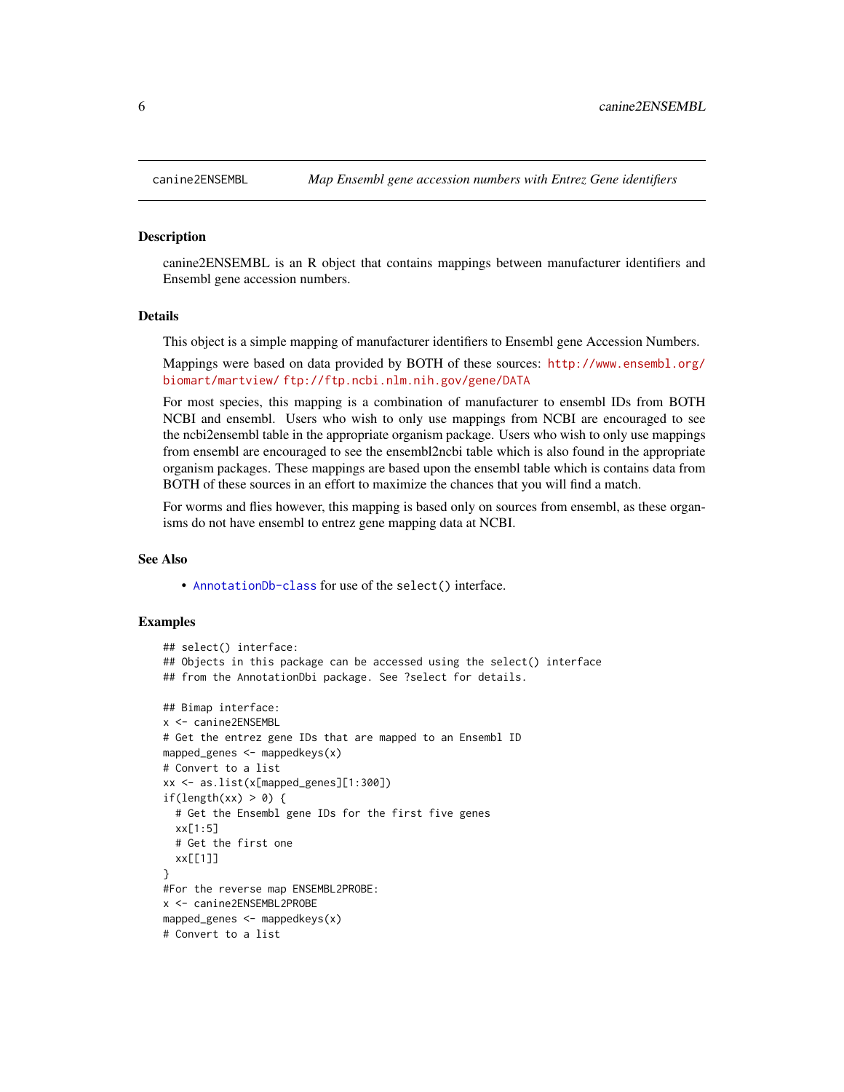#### Description

canine2ENSEMBL is an R object that contains mappings between manufacturer identifiers and Ensembl gene accession numbers.

#### Details

This object is a simple mapping of manufacturer identifiers to Ensembl gene Accession Numbers.

Mappings were based on data provided by BOTH of these sources: [http://www.ensembl.org/](http://www.ensembl.org/biomart/martview/) [biomart/martview/](http://www.ensembl.org/biomart/martview/) <ftp://ftp.ncbi.nlm.nih.gov/gene/DATA>

For most species, this mapping is a combination of manufacturer to ensembl IDs from BOTH NCBI and ensembl. Users who wish to only use mappings from NCBI are encouraged to see the ncbi2ensembl table in the appropriate organism package. Users who wish to only use mappings from ensembl are encouraged to see the ensembl2ncbi table which is also found in the appropriate organism packages. These mappings are based upon the ensembl table which is contains data from BOTH of these sources in an effort to maximize the chances that you will find a match.

For worms and flies however, this mapping is based only on sources from ensembl, as these organisms do not have ensembl to entrez gene mapping data at NCBI.

#### See Also

• [AnnotationDb-class](#page-0-0) for use of the select() interface.

```
## select() interface:
## Objects in this package can be accessed using the select() interface
## from the AnnotationDbi package. See ?select for details.
## Bimap interface:
x <- canine2ENSEMBL
# Get the entrez gene IDs that are mapped to an Ensembl ID
mapped_genes \leq mappedkeys(x)
# Convert to a list
xx <- as.list(x[mapped_genes][1:300])
if(length(xx) > 0) {
 # Get the Ensembl gene IDs for the first five genes
 xx[1:5]
 # Get the first one
 xx[[1]]
}
#For the reverse map ENSEMBL2PROBE:
x <- canine2ENSEMBL2PROBE
mapped_genes <- mappedkeys(x)
# Convert to a list
```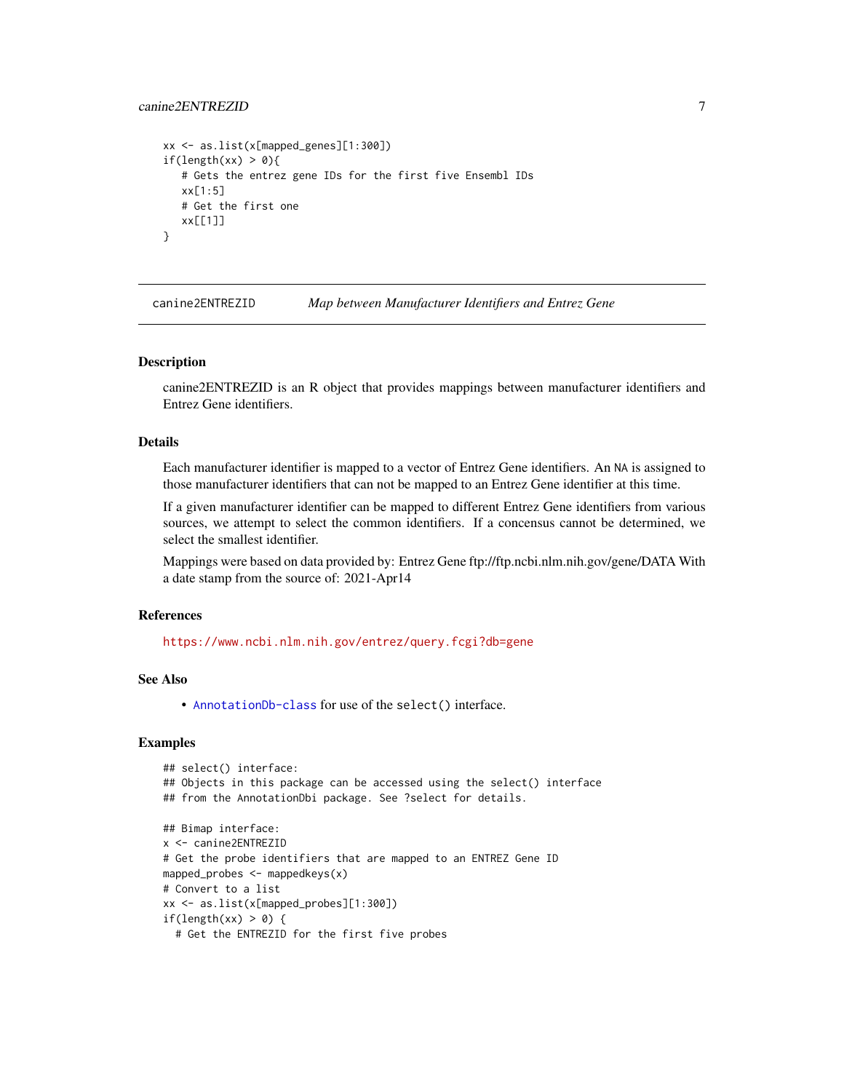#### <span id="page-6-0"></span>canine2ENTREZID 7

```
xx <- as.list(x[mapped_genes][1:300])
if(length(xx) > 0){
   # Gets the entrez gene IDs for the first five Ensembl IDs
  xx[1:5]
  # Get the first one
  xx[[1]]
}
```
canine2ENTREZID *Map between Manufacturer Identifiers and Entrez Gene*

#### Description

canine2ENTREZID is an R object that provides mappings between manufacturer identifiers and Entrez Gene identifiers.

# Details

Each manufacturer identifier is mapped to a vector of Entrez Gene identifiers. An NA is assigned to those manufacturer identifiers that can not be mapped to an Entrez Gene identifier at this time.

If a given manufacturer identifier can be mapped to different Entrez Gene identifiers from various sources, we attempt to select the common identifiers. If a concensus cannot be determined, we select the smallest identifier.

Mappings were based on data provided by: Entrez Gene ftp://ftp.ncbi.nlm.nih.gov/gene/DATA With a date stamp from the source of: 2021-Apr14

# References

<https://www.ncbi.nlm.nih.gov/entrez/query.fcgi?db=gene>

# See Also

• [AnnotationDb-class](#page-0-0) for use of the select() interface.

```
## select() interface:
## Objects in this package can be accessed using the select() interface
## from the AnnotationDbi package. See ?select for details.
## Bimap interface:
x <- canine2ENTREZID
# Get the probe identifiers that are mapped to an ENTREZ Gene ID
mapped_probes <- mappedkeys(x)
# Convert to a list
xx <- as.list(x[mapped_probes][1:300])
if(length(xx) > 0) {
 # Get the ENTREZID for the first five probes
```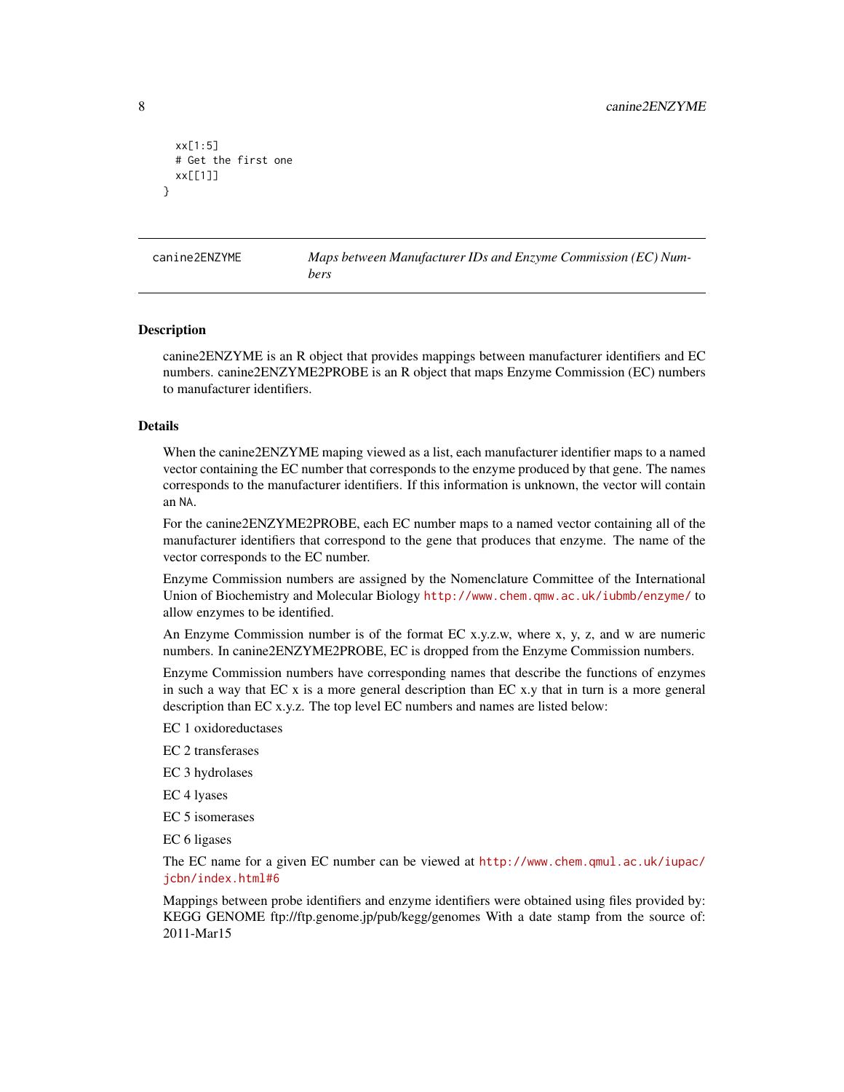```
xx[1:5]
 # Get the first one
 xx[[1]]
}
```
canine2ENZYME *Maps between Manufacturer IDs and Enzyme Commission (EC) Numbers*

#### Description

canine2ENZYME is an R object that provides mappings between manufacturer identifiers and EC numbers. canine2ENZYME2PROBE is an R object that maps Enzyme Commission (EC) numbers to manufacturer identifiers.

#### Details

When the canine2ENZYME maping viewed as a list, each manufacturer identifier maps to a named vector containing the EC number that corresponds to the enzyme produced by that gene. The names corresponds to the manufacturer identifiers. If this information is unknown, the vector will contain an NA.

For the canine2ENZYME2PROBE, each EC number maps to a named vector containing all of the manufacturer identifiers that correspond to the gene that produces that enzyme. The name of the vector corresponds to the EC number.

Enzyme Commission numbers are assigned by the Nomenclature Committee of the International Union of Biochemistry and Molecular Biology <http://www.chem.qmw.ac.uk/iubmb/enzyme/> to allow enzymes to be identified.

An Enzyme Commission number is of the format EC x.y.z.w, where x, y, z, and w are numeric numbers. In canine2ENZYME2PROBE, EC is dropped from the Enzyme Commission numbers.

Enzyme Commission numbers have corresponding names that describe the functions of enzymes in such a way that EC x is a more general description than EC x.y that in turn is a more general description than EC x.y.z. The top level EC numbers and names are listed below:

EC 1 oxidoreductases

EC 2 transferases

EC 3 hydrolases

EC 4 lyases

EC 5 isomerases

EC 6 ligases

The EC name for a given EC number can be viewed at [http://www.chem.qmul.ac.uk/iupac/](http://www.chem.qmul.ac.uk/iupac/jcbn/index.html#6) [jcbn/index.html#6](http://www.chem.qmul.ac.uk/iupac/jcbn/index.html#6)

Mappings between probe identifiers and enzyme identifiers were obtained using files provided by: KEGG GENOME ftp://ftp.genome.jp/pub/kegg/genomes With a date stamp from the source of: 2011-Mar15

<span id="page-7-0"></span>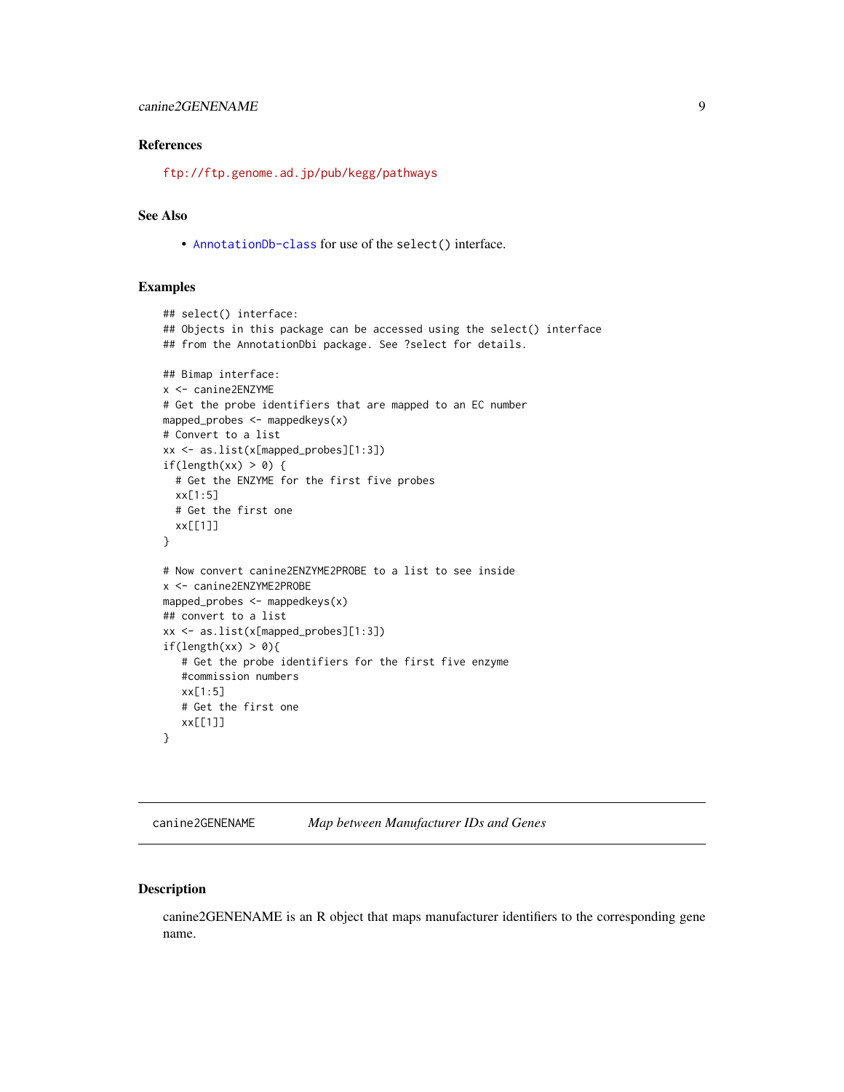#### <span id="page-8-0"></span>References

<ftp://ftp.genome.ad.jp/pub/kegg/pathways>

# See Also

• [AnnotationDb-class](#page-0-0) for use of the select() interface.

#### Examples

```
## select() interface:
## Objects in this package can be accessed using the select() interface
## from the AnnotationDbi package. See ?select for details.
## Bimap interface:
x <- canine2ENZYME
# Get the probe identifiers that are mapped to an EC number
mapped_probes <- mappedkeys(x)
# Convert to a list
xx <- as.list(x[mapped_probes][1:3])
if(length(xx) > 0) {
  # Get the ENZYME for the first five probes
  xx[1:5]
  # Get the first one
  xx[[1]]
}
# Now convert canine2ENZYME2PROBE to a list to see inside
x <- canine2ENZYME2PROBE
mapped_probes \leq mappedkeys(x)
## convert to a list
xx <- as.list(x[mapped_probes][1:3])
if(length(xx) > 0){
   # Get the probe identifiers for the first five enzyme
   #commission numbers
   xx[1:5]
   # Get the first one
  xx[[1]]
}
```
canine2GENENAME *Map between Manufacturer IDs and Genes*

# Description

canine2GENENAME is an R object that maps manufacturer identifiers to the corresponding gene name.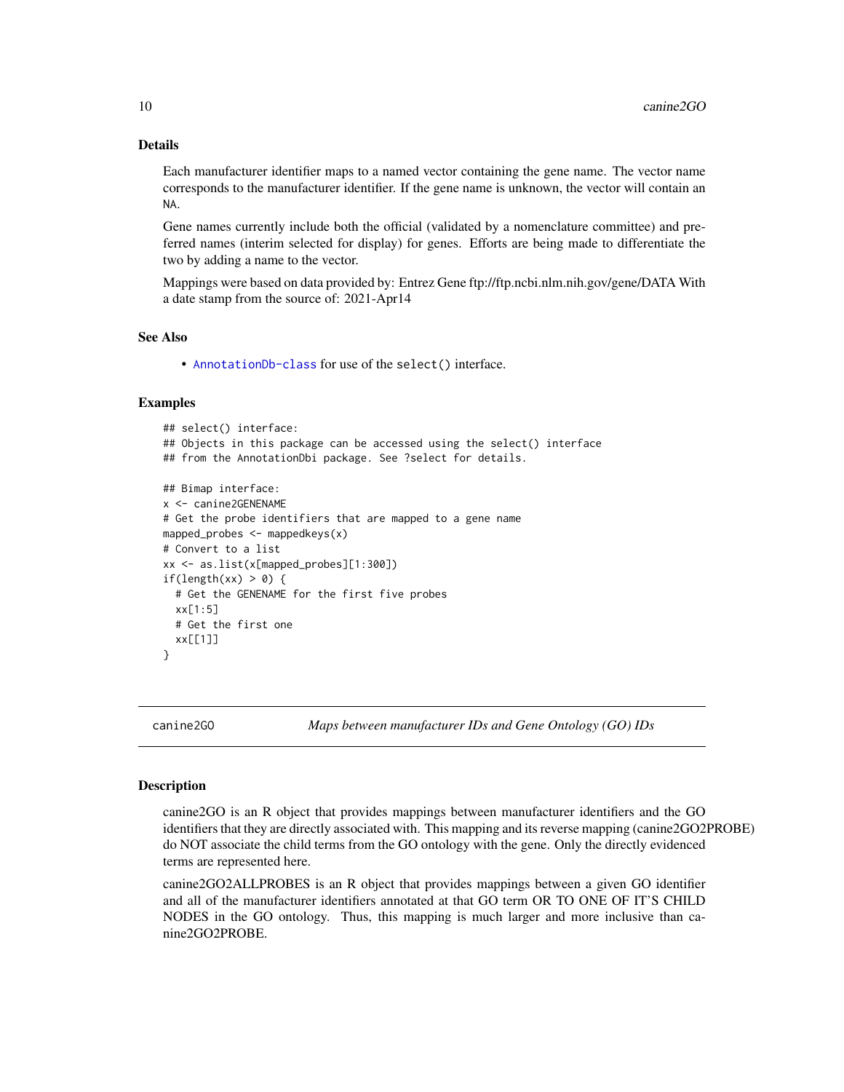## Details

Each manufacturer identifier maps to a named vector containing the gene name. The vector name corresponds to the manufacturer identifier. If the gene name is unknown, the vector will contain an NA.

Gene names currently include both the official (validated by a nomenclature committee) and preferred names (interim selected for display) for genes. Efforts are being made to differentiate the two by adding a name to the vector.

Mappings were based on data provided by: Entrez Gene ftp://ftp.ncbi.nlm.nih.gov/gene/DATA With a date stamp from the source of: 2021-Apr14

#### See Also

• [AnnotationDb-class](#page-0-0) for use of the select() interface.

#### Examples

```
## select() interface:
## Objects in this package can be accessed using the select() interface
## from the AnnotationDbi package. See ?select for details.
## Bimap interface:
x <- canine2GENENAME
# Get the probe identifiers that are mapped to a gene name
mapped_probes \leq mappedkeys(x)
# Convert to a list
xx <- as.list(x[mapped_probes][1:300])
if(length(xx) > 0) {
  # Get the GENENAME for the first five probes
  xx[1:5]
  # Get the first one
  xx[[1]]
}
```
canine2GO *Maps between manufacturer IDs and Gene Ontology (GO) IDs*

#### <span id="page-9-0"></span>**Description**

canine2GO is an R object that provides mappings between manufacturer identifiers and the GO identifiers that they are directly associated with. This mapping and its reverse mapping (canine2GO2PROBE) do NOT associate the child terms from the GO ontology with the gene. Only the directly evidenced terms are represented here.

canine2GO2ALLPROBES is an R object that provides mappings between a given GO identifier and all of the manufacturer identifiers annotated at that GO term OR TO ONE OF IT'S CHILD NODES in the GO ontology. Thus, this mapping is much larger and more inclusive than canine2GO2PROBE.

<span id="page-9-1"></span>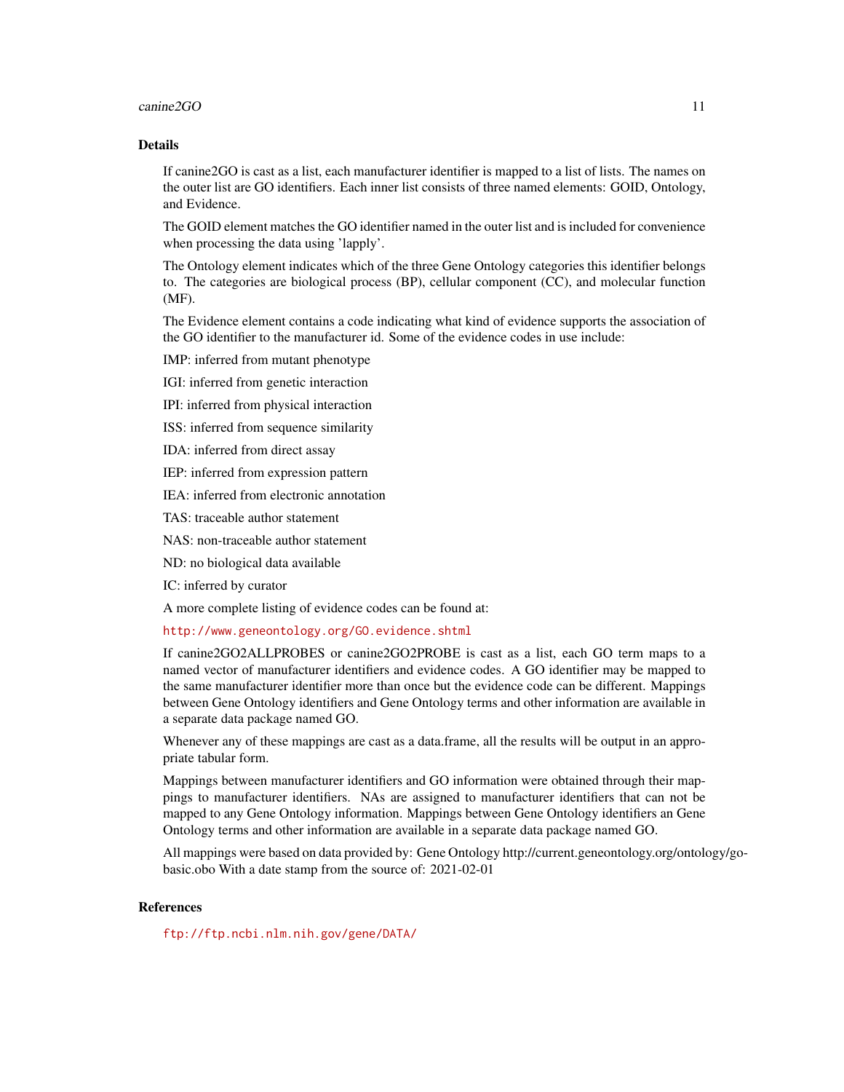#### $c$ anine $2GO$  11

### Details

If canine2GO is cast as a list, each manufacturer identifier is mapped to a list of lists. The names on the outer list are GO identifiers. Each inner list consists of three named elements: GOID, Ontology, and Evidence.

The GOID element matches the GO identifier named in the outer list and is included for convenience when processing the data using 'lapply'.

The Ontology element indicates which of the three Gene Ontology categories this identifier belongs to. The categories are biological process (BP), cellular component (CC), and molecular function (MF).

The Evidence element contains a code indicating what kind of evidence supports the association of the GO identifier to the manufacturer id. Some of the evidence codes in use include:

IMP: inferred from mutant phenotype

IGI: inferred from genetic interaction

IPI: inferred from physical interaction

ISS: inferred from sequence similarity

IDA: inferred from direct assay

IEP: inferred from expression pattern

IEA: inferred from electronic annotation

TAS: traceable author statement

NAS: non-traceable author statement

ND: no biological data available

IC: inferred by curator

A more complete listing of evidence codes can be found at:

<http://www.geneontology.org/GO.evidence.shtml>

If canine2GO2ALLPROBES or canine2GO2PROBE is cast as a list, each GO term maps to a named vector of manufacturer identifiers and evidence codes. A GO identifier may be mapped to the same manufacturer identifier more than once but the evidence code can be different. Mappings between Gene Ontology identifiers and Gene Ontology terms and other information are available in a separate data package named GO.

Whenever any of these mappings are cast as a data.frame, all the results will be output in an appropriate tabular form.

Mappings between manufacturer identifiers and GO information were obtained through their mappings to manufacturer identifiers. NAs are assigned to manufacturer identifiers that can not be mapped to any Gene Ontology information. Mappings between Gene Ontology identifiers an Gene Ontology terms and other information are available in a separate data package named GO.

All mappings were based on data provided by: Gene Ontology http://current.geneontology.org/ontology/gobasic.obo With a date stamp from the source of: 2021-02-01

#### **References**

<ftp://ftp.ncbi.nlm.nih.gov/gene/DATA/>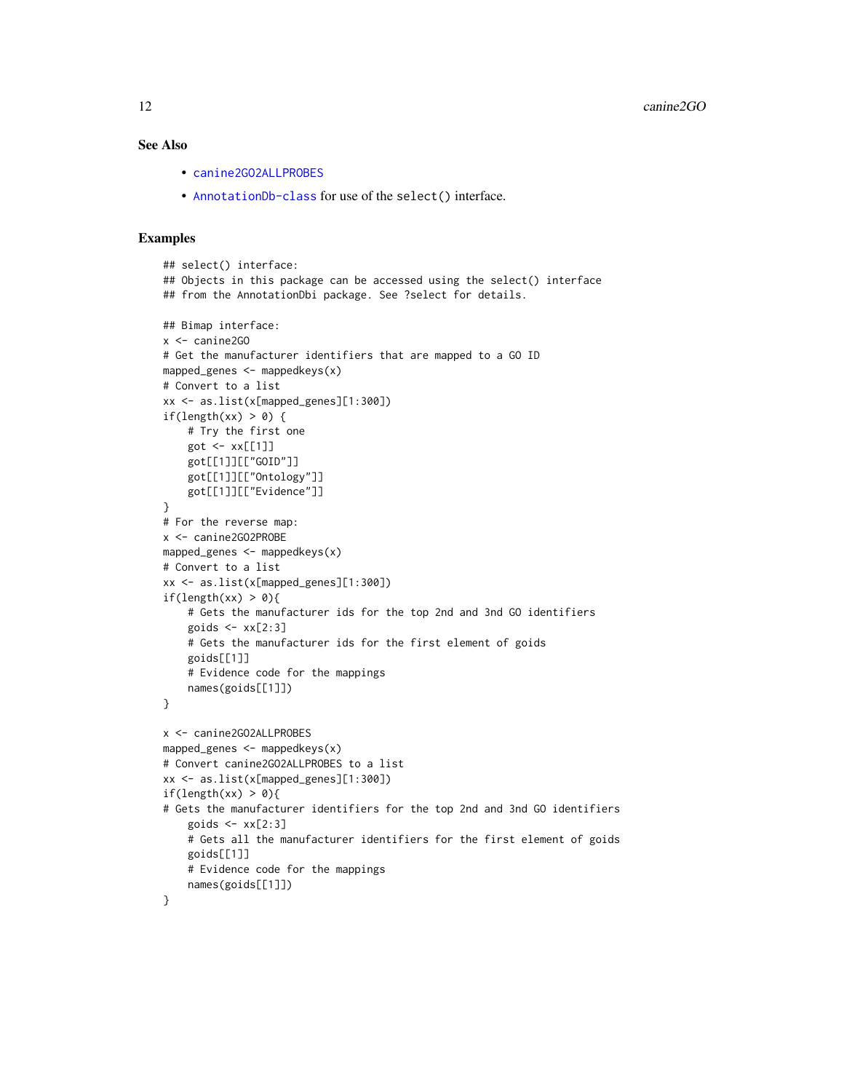# <span id="page-11-0"></span>See Also

- [canine2GO2ALLPROBES](#page-9-0)
- [AnnotationDb-class](#page-0-0) for use of the select() interface.

```
## select() interface:
## Objects in this package can be accessed using the select() interface
## from the AnnotationDbi package. See ?select for details.
## Bimap interface:
x <- canine2GO
# Get the manufacturer identifiers that are mapped to a GO ID
mapped_genes <- mappedkeys(x)
# Convert to a list
xx <- as.list(x[mapped_genes][1:300])
if(length(xx) > 0) {
    # Try the first one
   got \leq -xx[[1]]got[[1]][["GOID"]]
    got[[1]][["Ontology"]]
    got[[1]][["Evidence"]]
}
# For the reverse map:
x <- canine2GO2PROBE
mapped_genes <- mappedkeys(x)
# Convert to a list
xx <- as.list(x[mapped_genes][1:300])
if(length(xx) > 0){
    # Gets the manufacturer ids for the top 2nd and 3nd GO identifiers
    goids \leq -x \times [2:3]# Gets the manufacturer ids for the first element of goids
    goids[[1]]
    # Evidence code for the mappings
   names(goids[[1]])
}
x <- canine2GO2ALLPROBES
mapped_genes <- mappedkeys(x)
# Convert canine2GO2ALLPROBES to a list
xx <- as.list(x[mapped_genes][1:300])
if(length(xx) > 0){
# Gets the manufacturer identifiers for the top 2nd and 3nd GO identifiers
    goids \leq xx[2:3]# Gets all the manufacturer identifiers for the first element of goids
    goids[[1]]
    # Evidence code for the mappings
    names(goids[[1]])
}
```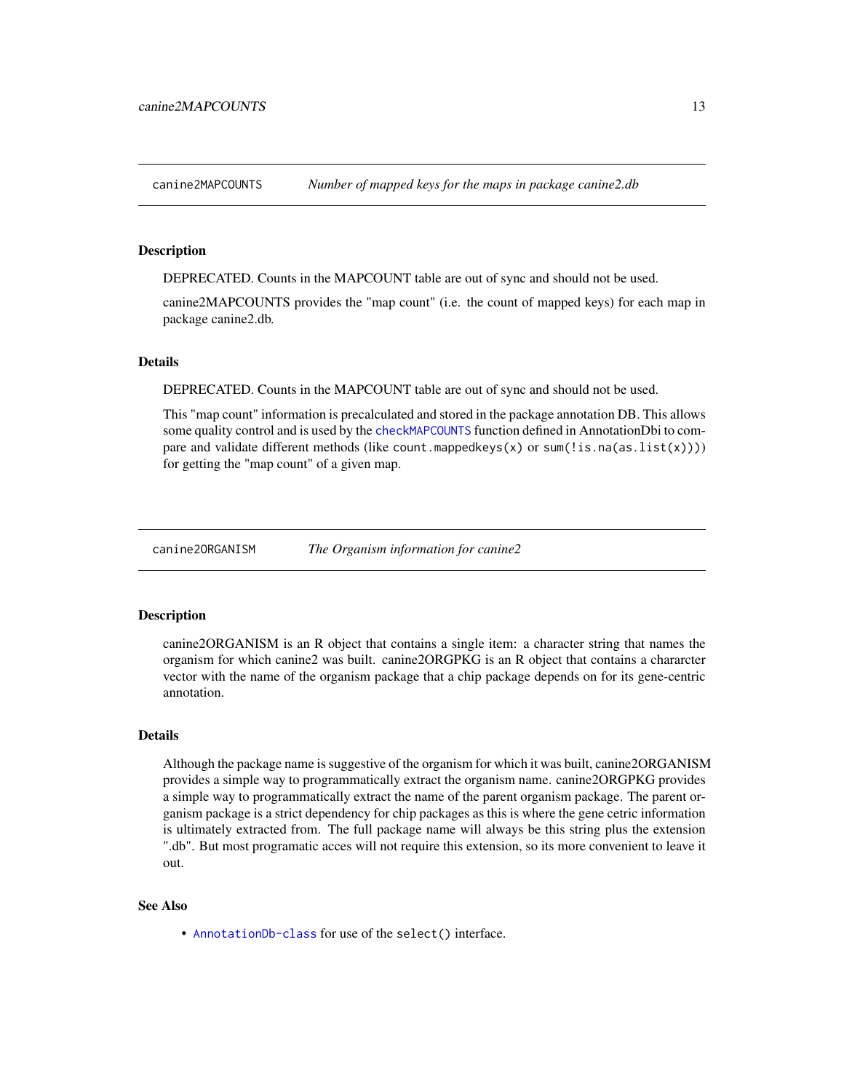<span id="page-12-0"></span>canine2MAPCOUNTS *Number of mapped keys for the maps in package canine2.db*

#### Description

DEPRECATED. Counts in the MAPCOUNT table are out of sync and should not be used.

canine2MAPCOUNTS provides the "map count" (i.e. the count of mapped keys) for each map in package canine2.db.

#### **Details**

DEPRECATED. Counts in the MAPCOUNT table are out of sync and should not be used.

This "map count" information is precalculated and stored in the package annotation DB. This allows some quality control and is used by the [checkMAPCOUNTS](#page-0-0) function defined in AnnotationDbi to compare and validate different methods (like count.mappedkeys $(x)$  or sum(!is.na(as.list(x)))) for getting the "map count" of a given map.

canine2ORGANISM *The Organism information for canine2*

#### Description

canine2ORGANISM is an R object that contains a single item: a character string that names the organism for which canine2 was built. canine2ORGPKG is an R object that contains a chararcter vector with the name of the organism package that a chip package depends on for its gene-centric annotation.

# Details

Although the package name is suggestive of the organism for which it was built, canine2ORGANISM provides a simple way to programmatically extract the organism name. canine2ORGPKG provides a simple way to programmatically extract the name of the parent organism package. The parent organism package is a strict dependency for chip packages as this is where the gene cetric information is ultimately extracted from. The full package name will always be this string plus the extension ".db". But most programatic acces will not require this extension, so its more convenient to leave it out.

#### See Also

• [AnnotationDb-class](#page-0-0) for use of the select() interface.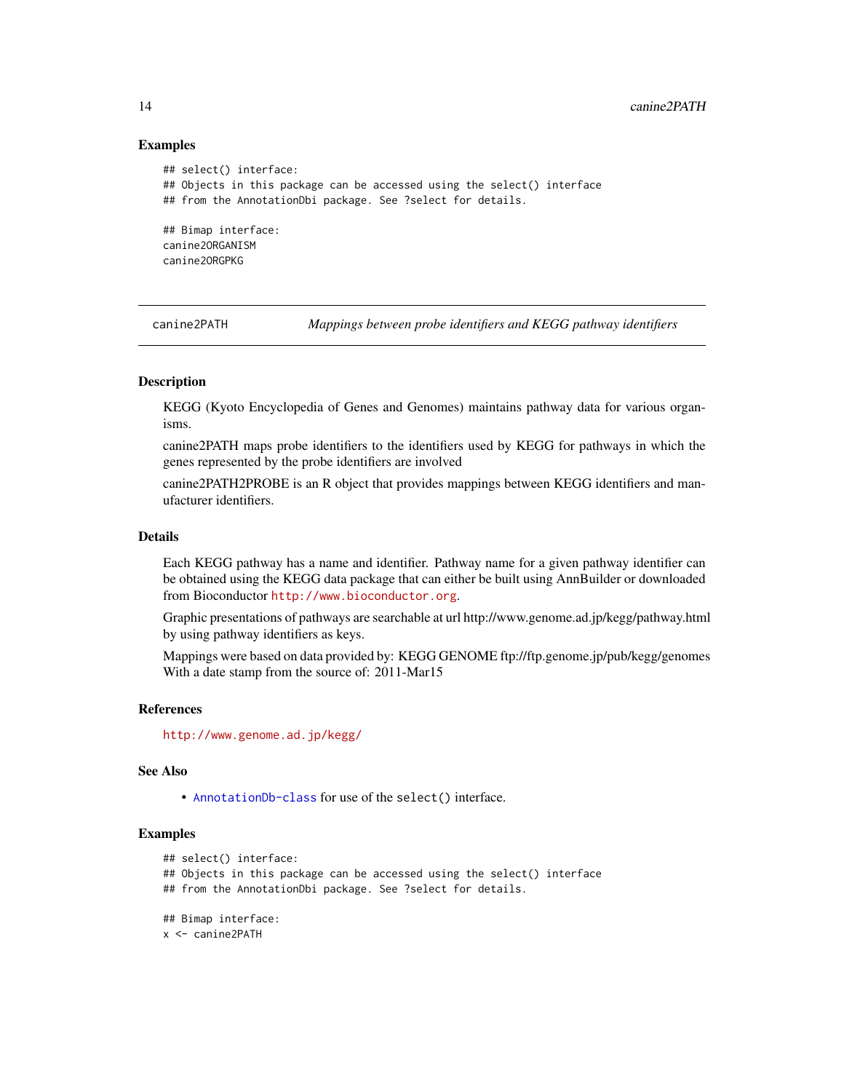#### Examples

```
## select() interface:
## Objects in this package can be accessed using the select() interface
## from the AnnotationDbi package. See ?select for details.
## Bimap interface:
canine2ORGANISM
canine2ORGPKG
```
canine2PATH *Mappings between probe identifiers and KEGG pathway identifiers*

#### Description

KEGG (Kyoto Encyclopedia of Genes and Genomes) maintains pathway data for various organisms.

canine2PATH maps probe identifiers to the identifiers used by KEGG for pathways in which the genes represented by the probe identifiers are involved

canine2PATH2PROBE is an R object that provides mappings between KEGG identifiers and manufacturer identifiers.

### Details

Each KEGG pathway has a name and identifier. Pathway name for a given pathway identifier can be obtained using the KEGG data package that can either be built using AnnBuilder or downloaded from Bioconductor <http://www.bioconductor.org>.

Graphic presentations of pathways are searchable at url http://www.genome.ad.jp/kegg/pathway.html by using pathway identifiers as keys.

Mappings were based on data provided by: KEGG GENOME ftp://ftp.genome.jp/pub/kegg/genomes With a date stamp from the source of: 2011-Mar15

#### References

<http://www.genome.ad.jp/kegg/>

#### See Also

• [AnnotationDb-class](#page-0-0) for use of the select() interface.

```
## select() interface:
## Objects in this package can be accessed using the select() interface
## from the AnnotationDbi package. See ?select for details.
## Bimap interface:
x <- canine2PATH
```
<span id="page-13-0"></span>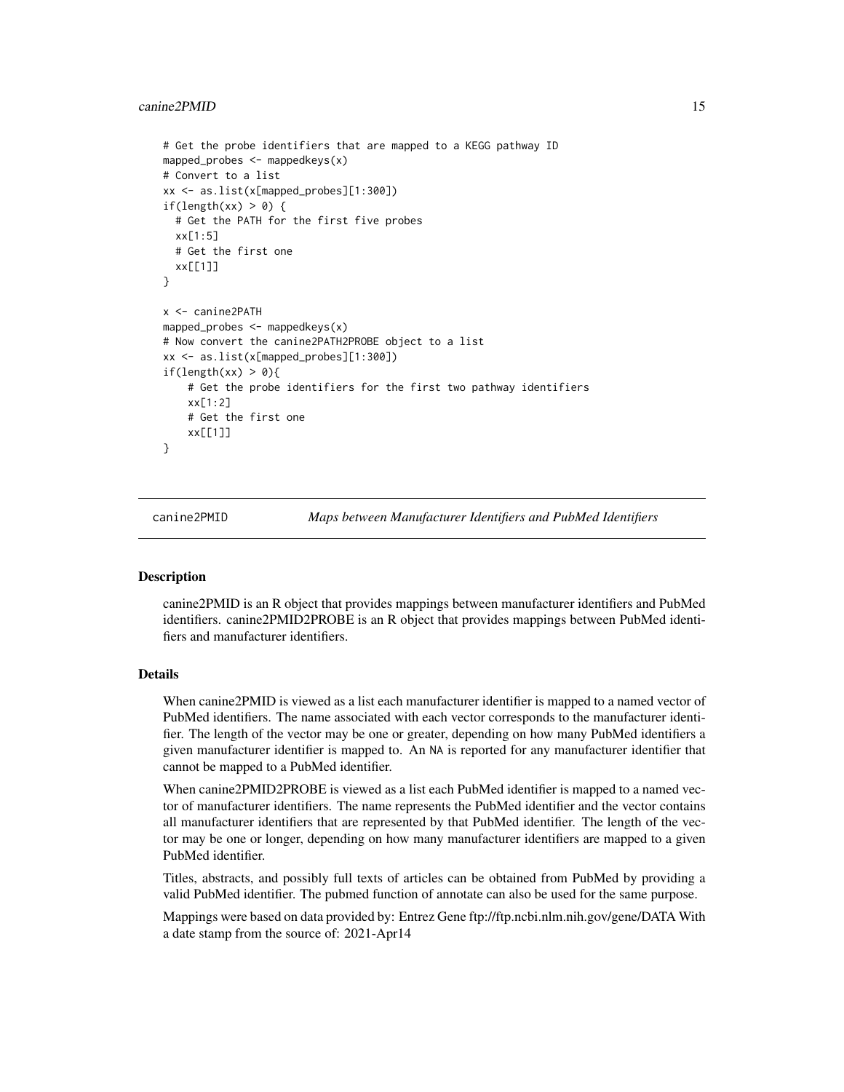#### <span id="page-14-0"></span>canine2PMID 15

```
# Get the probe identifiers that are mapped to a KEGG pathway ID
mapped_probes <- mappedkeys(x)
# Convert to a list
xx <- as.list(x[mapped_probes][1:300])
if(length(xx) > 0) {
 # Get the PATH for the first five probes
 xx[1:5]
 # Get the first one
 xx[[1]]
}
x <- canine2PATH
mapped_probes <- mappedkeys(x)
# Now convert the canine2PATH2PROBE object to a list
xx <- as.list(x[mapped_probes][1:300])
if(length(xx) > 0){
    # Get the probe identifiers for the first two pathway identifiers
   xx[1:2]
    # Get the first one
    xx[[1]]
}
```
canine2PMID *Maps between Manufacturer Identifiers and PubMed Identifiers*

#### Description

canine2PMID is an R object that provides mappings between manufacturer identifiers and PubMed identifiers. canine2PMID2PROBE is an R object that provides mappings between PubMed identifiers and manufacturer identifiers.

# Details

When canine2PMID is viewed as a list each manufacturer identifier is mapped to a named vector of PubMed identifiers. The name associated with each vector corresponds to the manufacturer identifier. The length of the vector may be one or greater, depending on how many PubMed identifiers a given manufacturer identifier is mapped to. An NA is reported for any manufacturer identifier that cannot be mapped to a PubMed identifier.

When canine2PMID2PROBE is viewed as a list each PubMed identifier is mapped to a named vector of manufacturer identifiers. The name represents the PubMed identifier and the vector contains all manufacturer identifiers that are represented by that PubMed identifier. The length of the vector may be one or longer, depending on how many manufacturer identifiers are mapped to a given PubMed identifier.

Titles, abstracts, and possibly full texts of articles can be obtained from PubMed by providing a valid PubMed identifier. The pubmed function of annotate can also be used for the same purpose.

Mappings were based on data provided by: Entrez Gene ftp://ftp.ncbi.nlm.nih.gov/gene/DATA With a date stamp from the source of: 2021-Apr14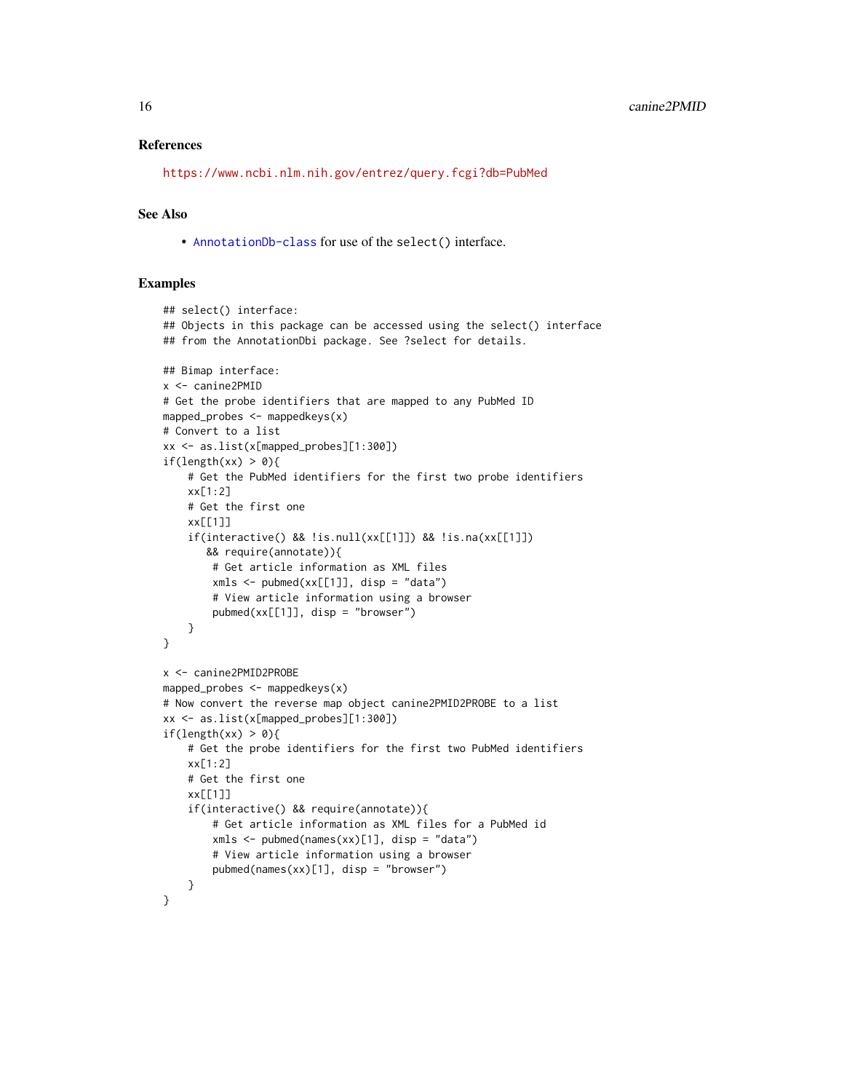#### References

<https://www.ncbi.nlm.nih.gov/entrez/query.fcgi?db=PubMed>

#### See Also

• [AnnotationDb-class](#page-0-0) for use of the select() interface.

```
## select() interface:
## Objects in this package can be accessed using the select() interface
## from the AnnotationDbi package. See ?select for details.
## Bimap interface:
x <- canine2PMID
# Get the probe identifiers that are mapped to any PubMed ID
mapped_probes \leq mappedkeys(x)
# Convert to a list
xx <- as.list(x[mapped_probes][1:300])
if(length(xx) > 0){
    # Get the PubMed identifiers for the first two probe identifiers
    xx[1:2]
    # Get the first one
    xx[[1]]
    if(interactive() && !is.null(xx[[1]]) && !is.na(xx[[1]])
       && require(annotate)){
        # Get article information as XML files
        xmls < -pubmed(xx[[1]], disp = "data")# View article information using a browser
        pubmed(xx[[1]], disp = "browser")
   }
}
x <- canine2PMID2PROBE
mapped_probes \leq mappedkeys(x)
# Now convert the reverse map object canine2PMID2PROBE to a list
xx <- as.list(x[mapped_probes][1:300])
if(length(xx) > 0){
    # Get the probe identifiers for the first two PubMed identifiers
    xx[1:2]
    # Get the first one
    xx[[1]]
    if(interactive() && require(annotate)){
        # Get article information as XML files for a PubMed id
        xmls < -pubmed(names(xx)[1], disp = "data")# View article information using a browser
        pubmed(names(xx)[1], disp = "browser")}
}
```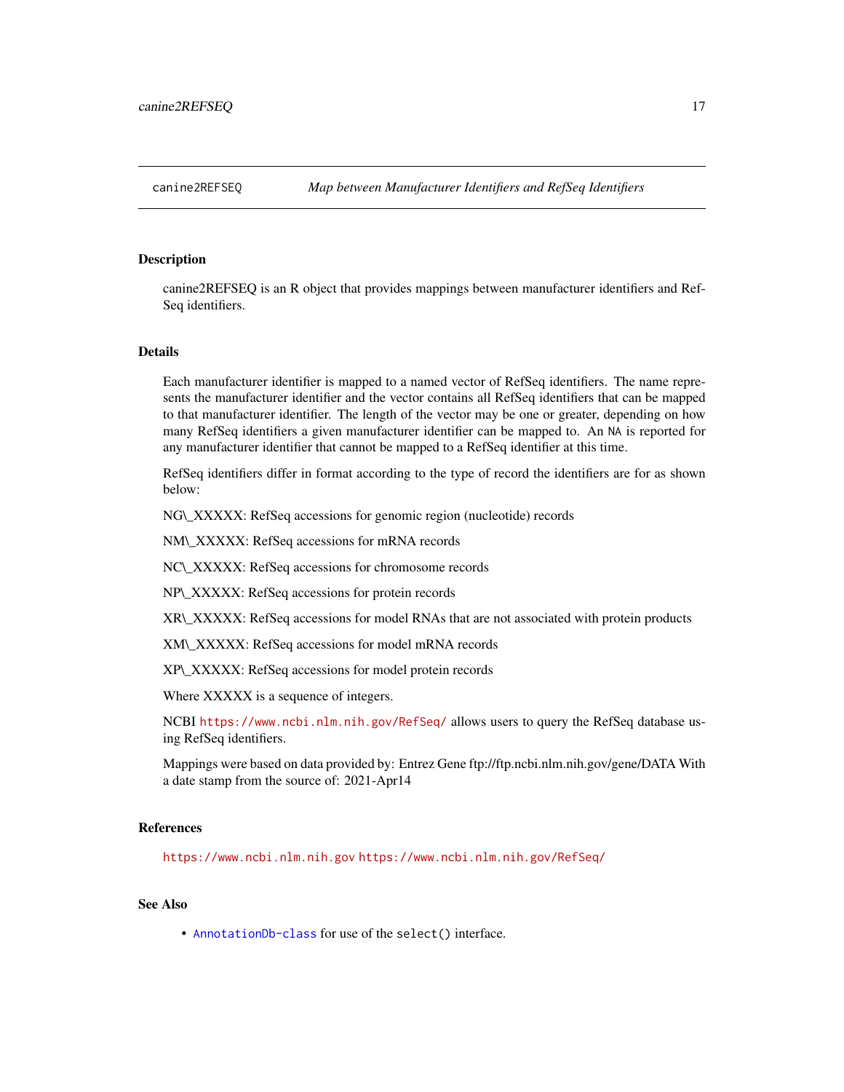#### <span id="page-16-0"></span>**Description**

canine2REFSEQ is an R object that provides mappings between manufacturer identifiers and Ref-Seq identifiers.

#### Details

Each manufacturer identifier is mapped to a named vector of RefSeq identifiers. The name represents the manufacturer identifier and the vector contains all RefSeq identifiers that can be mapped to that manufacturer identifier. The length of the vector may be one or greater, depending on how many RefSeq identifiers a given manufacturer identifier can be mapped to. An NA is reported for any manufacturer identifier that cannot be mapped to a RefSeq identifier at this time.

RefSeq identifiers differ in format according to the type of record the identifiers are for as shown below:

NG\\_XXXXX: RefSeq accessions for genomic region (nucleotide) records

NM\\_XXXXX: RefSeq accessions for mRNA records

NC\\_XXXXX: RefSeq accessions for chromosome records

NP\\_XXXXX: RefSeq accessions for protein records

XR\\_XXXXX: RefSeq accessions for model RNAs that are not associated with protein products

XM\\_XXXXX: RefSeq accessions for model mRNA records

XP\\_XXXXX: RefSeq accessions for model protein records

Where XXXXX is a sequence of integers.

NCBI <https://www.ncbi.nlm.nih.gov/RefSeq/> allows users to query the RefSeq database using RefSeq identifiers.

Mappings were based on data provided by: Entrez Gene ftp://ftp.ncbi.nlm.nih.gov/gene/DATA With a date stamp from the source of: 2021-Apr14

# References

<https://www.ncbi.nlm.nih.gov> <https://www.ncbi.nlm.nih.gov/RefSeq/>

# See Also

• [AnnotationDb-class](#page-0-0) for use of the select() interface.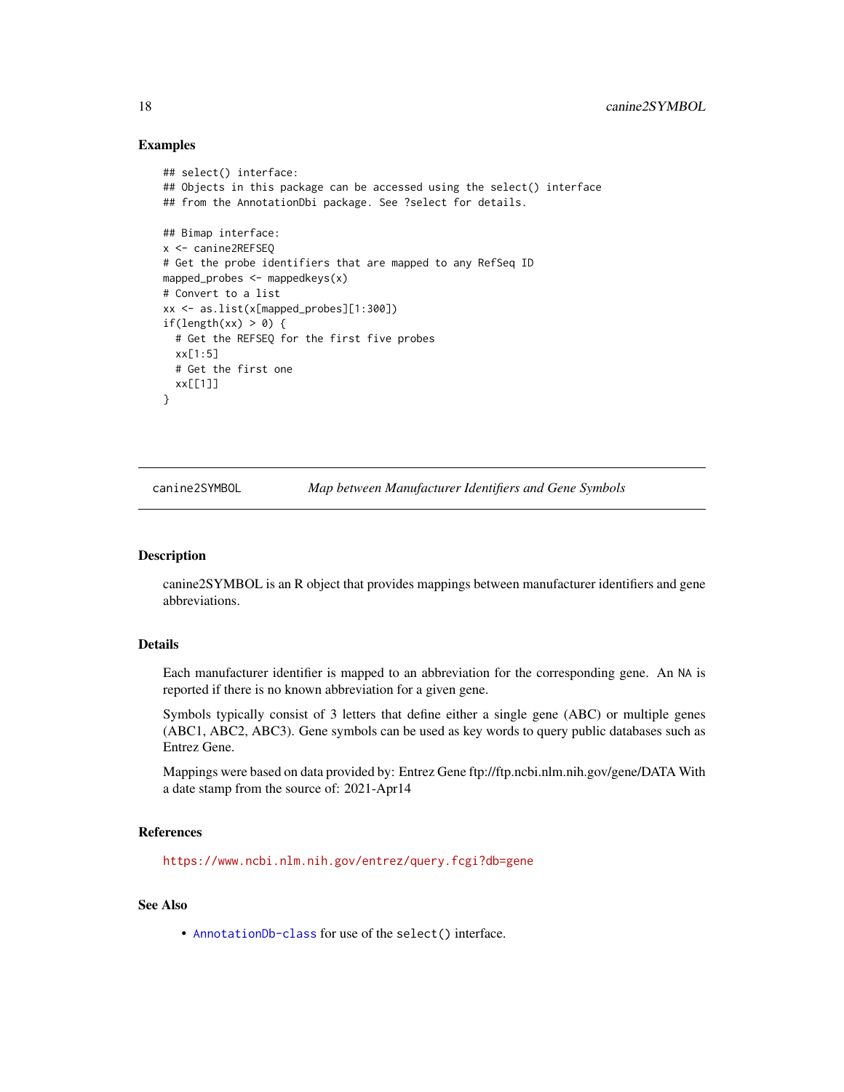#### Examples

```
## select() interface:
## Objects in this package can be accessed using the select() interface
## from the AnnotationDbi package. See ?select for details.
## Bimap interface:
x <- canine2REFSEQ
# Get the probe identifiers that are mapped to any RefSeq ID
mapped_probes <- mappedkeys(x)
# Convert to a list
xx <- as.list(x[mapped_probes][1:300])
if(length(xx) > 0) {
  # Get the REFSEQ for the first five probes
  xx[1:5]
  # Get the first one
  xx[[1]]
}
```
canine2SYMBOL *Map between Manufacturer Identifiers and Gene Symbols*

#### Description

canine2SYMBOL is an R object that provides mappings between manufacturer identifiers and gene abbreviations.

# Details

Each manufacturer identifier is mapped to an abbreviation for the corresponding gene. An NA is reported if there is no known abbreviation for a given gene.

Symbols typically consist of 3 letters that define either a single gene (ABC) or multiple genes (ABC1, ABC2, ABC3). Gene symbols can be used as key words to query public databases such as Entrez Gene.

Mappings were based on data provided by: Entrez Gene ftp://ftp.ncbi.nlm.nih.gov/gene/DATA With a date stamp from the source of: 2021-Apr14

#### References

<https://www.ncbi.nlm.nih.gov/entrez/query.fcgi?db=gene>

#### See Also

• [AnnotationDb-class](#page-0-0) for use of the select() interface.

<span id="page-17-0"></span>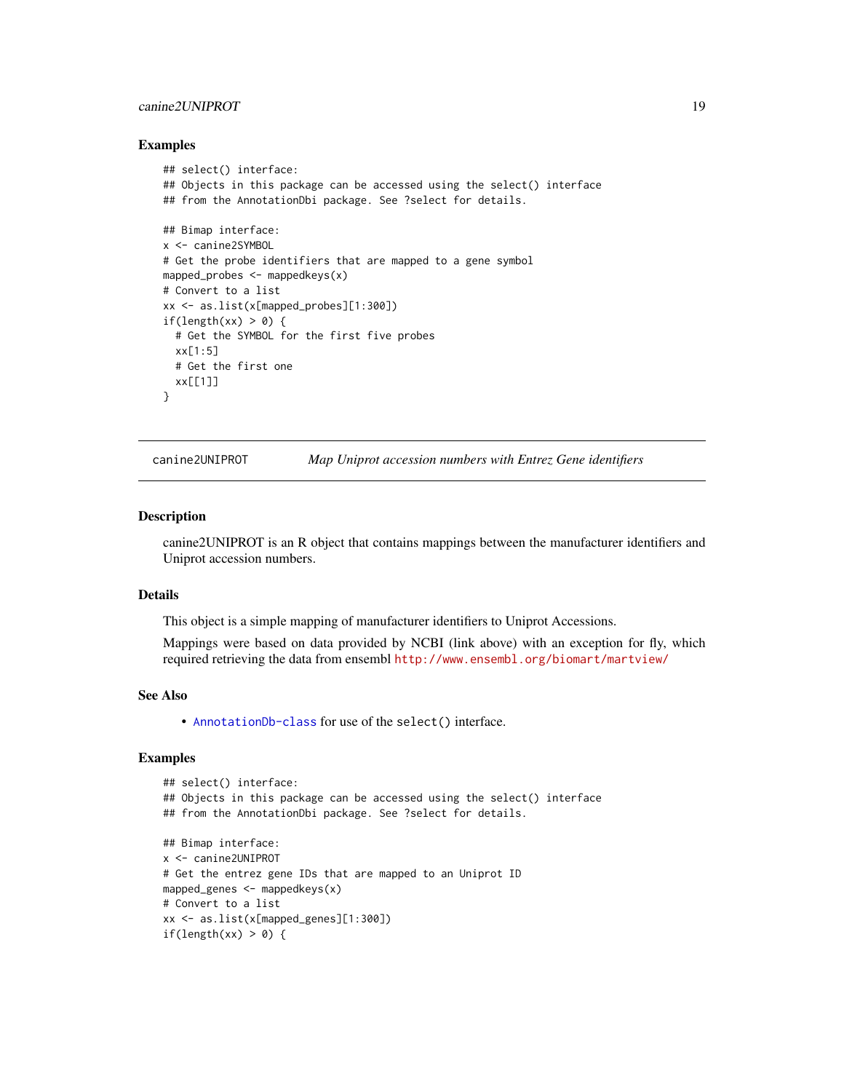### <span id="page-18-0"></span>canine2UNIPROT 19

#### Examples

```
## select() interface:
## Objects in this package can be accessed using the select() interface
## from the AnnotationDbi package. See ?select for details.
## Bimap interface:
x <- canine2SYMBOL
# Get the probe identifiers that are mapped to a gene symbol
mapped_probes <- mappedkeys(x)
# Convert to a list
xx <- as.list(x[mapped_probes][1:300])
if(length(xx) > 0) {
  # Get the SYMBOL for the first five probes
  xx[1:5]
  # Get the first one
  xx[[1]]
}
```
canine2UNIPROT *Map Uniprot accession numbers with Entrez Gene identifiers*

#### Description

canine2UNIPROT is an R object that contains mappings between the manufacturer identifiers and Uniprot accession numbers.

# Details

This object is a simple mapping of manufacturer identifiers to Uniprot Accessions.

Mappings were based on data provided by NCBI (link above) with an exception for fly, which required retrieving the data from ensembl <http://www.ensembl.org/biomart/martview/>

#### See Also

• [AnnotationDb-class](#page-0-0) for use of the select() interface.

```
## select() interface:
## Objects in this package can be accessed using the select() interface
## from the AnnotationDbi package. See ?select for details.
## Bimap interface:
x <- canine2UNIPROT
# Get the entrez gene IDs that are mapped to an Uniprot ID
mapped_genes <- mappedkeys(x)
# Convert to a list
xx <- as.list(x[mapped_genes][1:300])
if(length(xx) > 0) {
```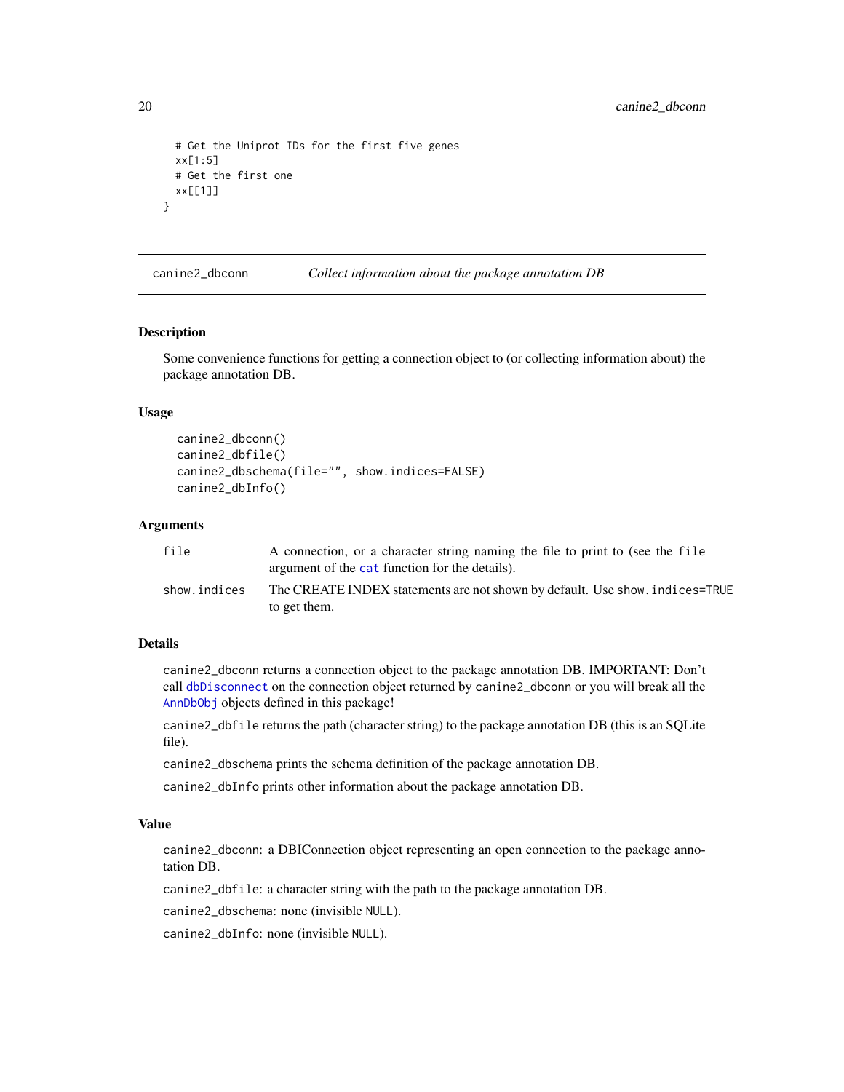```
# Get the Uniprot IDs for the first five genes
 xx[1:5]
 # Get the first one
 xx[[1]]
}
```
canine2\_dbconn *Collect information about the package annotation DB*

#### Description

Some convenience functions for getting a connection object to (or collecting information about) the package annotation DB.

#### Usage

```
canine2_dbconn()
canine2_dbfile()
canine2_dbschema(file="", show.indices=FALSE)
canine2_dbInfo()
```
# Arguments

| file         | A connection, or a character string naming the file to print to (see the file<br>argument of the cat function for the details). |
|--------------|---------------------------------------------------------------------------------------------------------------------------------|
| show.indices | The CREATE INDEX statements are not shown by default. Use show, indices=TRUE<br>to get them.                                    |

#### Details

canine2\_dbconn returns a connection object to the package annotation DB. IMPORTANT: Don't call [dbDisconnect](#page-0-0) on the connection object returned by canine2\_dbconn or you will break all the [AnnDbObj](#page-0-0) objects defined in this package!

canine2\_dbfile returns the path (character string) to the package annotation DB (this is an SQLite file).

canine2\_dbschema prints the schema definition of the package annotation DB.

canine2\_dbInfo prints other information about the package annotation DB.

# Value

canine2\_dbconn: a DBIConnection object representing an open connection to the package annotation DB.

canine2\_dbfile: a character string with the path to the package annotation DB.

canine2\_dbschema: none (invisible NULL).

canine2\_dbInfo: none (invisible NULL).

<span id="page-19-0"></span>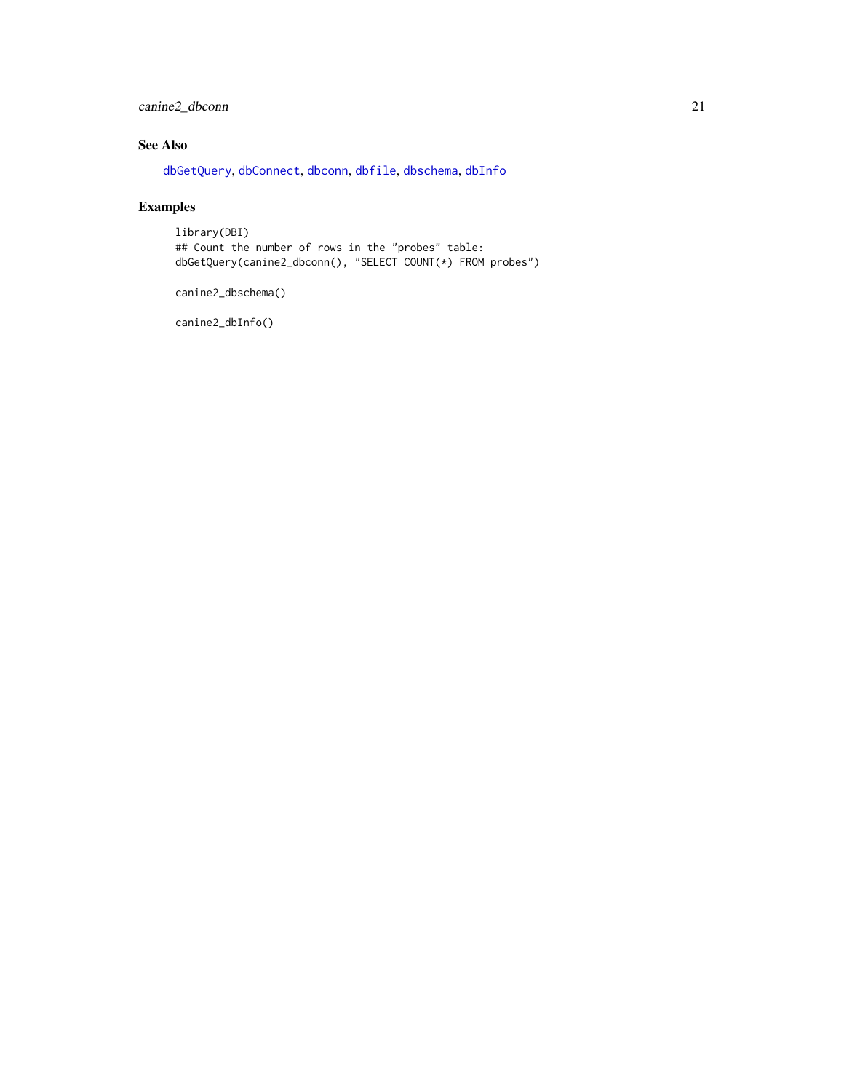# <span id="page-20-0"></span>canine2\_dbconn 21

# See Also

[dbGetQuery](#page-0-0), [dbConnect](#page-0-0), [dbconn](#page-0-0), [dbfile](#page-0-0), [dbschema](#page-0-0), [dbInfo](#page-0-0)

# Examples

library(DBI) ## Count the number of rows in the "probes" table: dbGetQuery(canine2\_dbconn(), "SELECT COUNT(\*) FROM probes")

canine2\_dbschema()

canine2\_dbInfo()